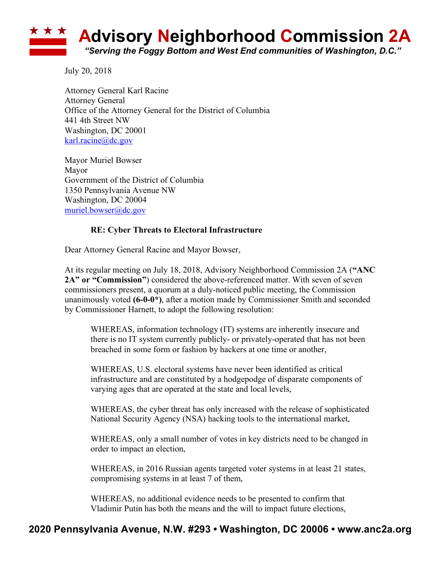

July 20, 2018

Attorney General Karl Racine Attorney General Office of the Attorney General for the District of Columbia 441 4th Street NW Washington, DC 20001 karl.racine@dc.gov

Mayor Muriel Bowser Mayor Government of the District of Columbia 1350 Pennsylvania Avenue NW Washington, DC 20004 muriel.bowser@dc.gov

## **RE: Cyber Threats to Electoral Infrastructure**

Dear Attorney General Racine and Mayor Bowser,

At its regular meeting on July 18, 2018, Advisory Neighborhood Commission 2A (**"ANC 2A" or "Commission"**) considered the above-referenced matter. With seven of seven commissioners present, a quorum at a duly-noticed public meeting, the Commission unanimously voted **(6-0-0\*)**, after a motion made by Commissioner Smith and seconded by Commissioner Harnett, to adopt the following resolution:

WHEREAS, information technology (IT) systems are inherently insecure and there is no IT system currently publicly- or privately-operated that has not been breached in some form or fashion by hackers at one time or another,

WHEREAS, U.S. electoral systems have never been identified as critical infrastructure and are constituted by a hodgepodge of disparate components of varying ages that are operated at the state and local levels,

WHEREAS, the cyber threat has only increased with the release of sophisticated National Security Agency (NSA) hacking tools to the international market,

WHEREAS, only a small number of votes in key districts need to be changed in order to impact an election,

WHEREAS, in 2016 Russian agents targeted voter systems in at least 21 states, compromising systems in at least 7 of them,

WHEREAS, no additional evidence needs to be presented to confirm that Vladimir Putin has both the means and the will to impact future elections,

## **2020 Pennsylvania Avenue, N.W. #293 • Washington, DC 20006 • www.anc2a.org**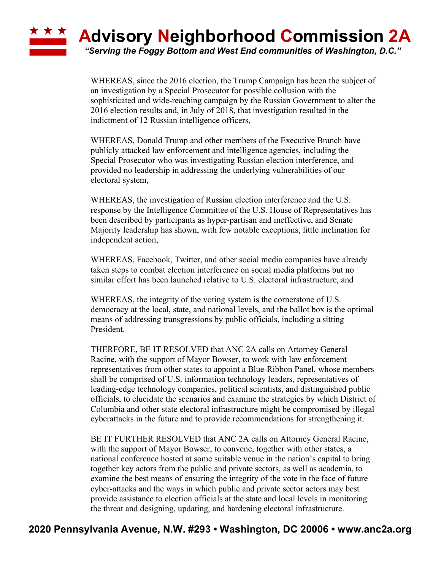## \* \* \* **Advisory Neighborhood Commission 2A** *"Serving the Foggy Bottom and West End communities of Washington, D.C."*

WHEREAS, since the 2016 election, the Trump Campaign has been the subject of an investigation by a Special Prosecutor for possible collusion with the sophisticated and wide-reaching campaign by the Russian Government to alter the 2016 election results and, in July of 2018, that investigation resulted in the indictment of 12 Russian intelligence officers,

WHEREAS, Donald Trump and other members of the Executive Branch have publicly attacked law enforcement and intelligence agencies, including the Special Prosecutor who was investigating Russian election interference, and provided no leadership in addressing the underlying vulnerabilities of our electoral system,

WHEREAS, the investigation of Russian election interference and the U.S. response by the Intelligence Committee of the U.S. House of Representatives has been described by participants as hyper-partisan and ineffective, and Senate Majority leadership has shown, with few notable exceptions, little inclination for independent action,

WHEREAS, Facebook, Twitter, and other social media companies have already taken steps to combat election interference on social media platforms but no similar effort has been launched relative to U.S. electoral infrastructure, and

WHEREAS, the integrity of the voting system is the cornerstone of U.S. democracy at the local, state, and national levels, and the ballot box is the optimal means of addressing transgressions by public officials, including a sitting President.

THERFORE, BE IT RESOLVED that ANC 2A calls on Attorney General Racine, with the support of Mayor Bowser, to work with law enforcement representatives from other states to appoint a Blue-Ribbon Panel, whose members shall be comprised of U.S. information technology leaders, representatives of leading-edge technology companies, political scientists, and distinguished public officials, to elucidate the scenarios and examine the strategies by which District of Columbia and other state electoral infrastructure might be compromised by illegal cyberattacks in the future and to provide recommendations for strengthening it.

BE IT FURTHER RESOLVED that ANC 2A calls on Attorney General Racine, with the support of Mayor Bowser, to convene, together with other states, a national conference hosted at some suitable venue in the nation's capital to bring together key actors from the public and private sectors, as well as academia, to examine the best means of ensuring the integrity of the vote in the face of future cyber-attacks and the ways in which public and private sector actors may best provide assistance to election officials at the state and local levels in monitoring the threat and designing, updating, and hardening electoral infrastructure.

## **2020 Pennsylvania Avenue, N.W. #293 • Washington, DC 20006 • www.anc2a.org**